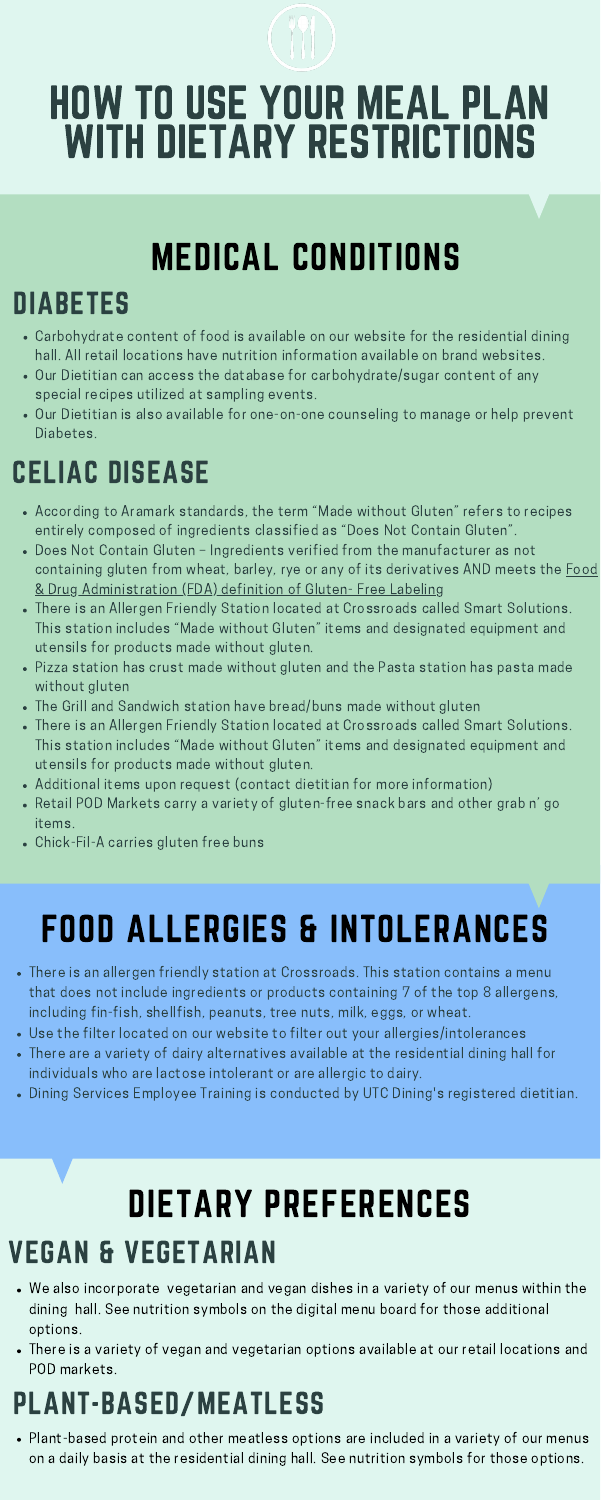# MEDICAL CONDITIONS

- Carbohydrate content of food is available on our website for the residential dining hall. All retail locations have nutrition information available on brand websites.
- Our Dietitian can access the database for carbohydrate/sugar content of any special recipes utilized at sampling events.
- Our Dietitian is also available for one-on-one counseling to manage or help prevent Diabetes.

## DIABETES

## CELIAC DISEASE

- According to Aramark standards, the term "Made without Gluten" refers to recipes entirely composed of ingredients classified as "Does Not Contain Gluten".
- Does Not Contain Gluten Ingredients verified from the manufacturer as not containing gluten from wheat, barley, rye or any of its derivatives AND meets the **Food** & Drug [Administration](https://www.fda.gov/regulatory-information/search-fda-guidance-documents/small-entity-compliance-guide-gluten-free-labeling-foods) (FDA) definition of Gluten- Free Labeling
- There is an Allergen Friendly Station located at Crossroads called Smart Solutions. This station includes "Made without Gluten" items and designated equipment and utensils for products made without gluten.
- Pizza station has crust made without gluten and the Pasta station has pasta made without gluten
- The Grill and Sandwich station have bread/buns made without gluten
- There is an Allergen Friendly Station located at Crossroads called Smart Solutions. This station includes "Made without Gluten" items and designated equipment and utensils for products made without gluten.
- Additional items upon request (contact dietitian for more information)
- Retail POD Markets carry a variety of gluten-free snack bars and other grab n' go items.
- Chick-Fil-A carries gluten free buns

# FOOD ALLERGIES & INTOLERANCES

- There is an allergen friendly station at Crossroads. This station contains a menu that does not include ingredients or products containing 7 of the top 8 allergens, including fin-fish, shellfish, peanuts, tree nuts, milk, eggs, or wheat.
- Use the filter located on our website to filter out your allergies/intolerances
- There are a variety of dairy alternatives available at the residential dining hall for individuals who are lactose intolerant or are allergic to dairy.
- Dining Services Employee Training is conducted by UTC Dining's registered dietitian.

# DIETARY PREFERENCES VEGAN & VEGETARIAN

- We also incorporate vegetarian and vegan dishes in a variety of our menus within the dining hall. See nutrition symbols on the digital menu board for those additional options.
- There is a variety of vegan and vegetarian options available at our retail locations and POD markets.

## PLANT-BASED/MEATLESS

Plant-based protein and other meatless options are included in a variety of our menus on a daily basis at the residential dining hall. See nutrition symbols for those options.

# HOW TO USE YOUR MEAL PLAN WITH DIETARY RESTRICTIONS